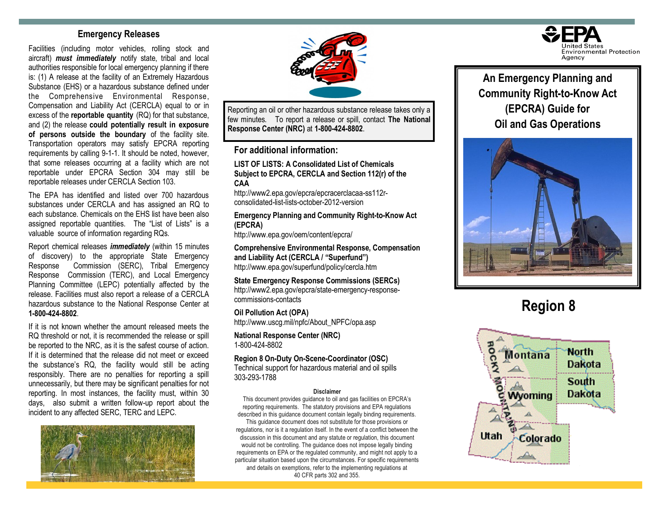## **Emergency Releases**

Facilities (including motor vehicles, rolling stock and aircraft) *must immediately* notify state, tribal and local authorities responsible for local emergency planning if there is: (1) A release at the facility of an Extremely Hazardous Substance (EHS) or a hazardous substance defined under the Comprehensive Environmental Response, Compensation and Liability Act (CERCLA) equal to or in excess of the **reportable quantity** (RQ) for that substance, and (2) the release **could potentially result in exposure of persons outside the boundary** of the facility site. Transportation operators may satisfy EPCRA reporting requirements by calling 9-1-1. It should be noted, however, that some releases occurring at a facility which are not reportable under EPCRA Section 304 may still be reportable releases under CERCLA Section 103.

The EPA has identified and listed over 700 hazardous substances under CERCLA and has assigned an RQ to each substance. Chemicals on the EHS list have been also assigned reportable quantities. The "List of Lists" is a valuable source of information regarding RQs.

Report chemical releases *immediately* (within 15 minutes of discovery) to the appropriate State Emergency Response Commission (SERC), Tribal Emergency Response Commission (TERC), and Local Emergency Planning Committee (LEPC) potentially affected by the release. Facilities must also report a release of a CERCLA hazardous substance to the National Response Center at **1-800-424-8802**.

If it is not known whether the amount released meets the RQ threshold or not, it is recommended the release or spill be reported to the NRC, as it is the safest course of action. If it is determined that the release did not meet or exceed the substance's RQ, the facility would still be acting responsibly. There are no penalties for reporting a spill unnecessarily, but there may be significant penalties for not reporting. In most instances, the facility must, within 30 days, also submit a written follow-up report about the incident to any affected SERC, TERC and LEPC.





Reporting an oil or other hazardous substance release takes only a few minutes. To report a release or spill, contact **The National Response Center (NRC)** at **1-800-424-8802**.

**For additional information:** 

**LIST OF LISTS: A Consolidated List of Chemicals Subject to EPCRA, CERCLA and Section 112(r) of the CAA**

http://www2.epa.gov/epcra/epcracerclacaa-ss112rconsolidated-list-lists-october-2012-version

**Emergency Planning and Community Right-to-Know Act (EPCRA)**

http://www.epa.gov/oem/content/epcra/

**Comprehensive Environmental Response, Compensation and Liability Act (CERCLA / "Superfund")** http://www.epa.gov/superfund/policy/cercla.htm

**State Emergency Response Commissions (SERCs)** http://www2.epa.gov/epcra/state-emergency-responsecommissions-contacts

**Oil Pollution Act (OPA)** http://www.uscg.mil/npfc/About\_NPFC/opa.asp

**National Response Center (NRC)** 1-800-424-8802

**Region 8 On-Duty On-Scene-Coordinator (OSC)**

Technical support for hazardous material and oil spills 303-293-1788

#### **Disclaimer**

This document provides guidance to oil and gas facilities on EPCRA's reporting requirements. The statutory provisions and EPA regulations described in this guidance document contain legally binding requirements.

This guidance document does not substitute for those provisions or regulations, nor is it a regulation itself. In the event of a conflict between the discussion in this document and any statute or regulation, this document would not be controlling. The guidance does not impose legally binding requirements on EPA or the regulated community, and might not apply to a particular situation based upon the circumstances. For specific requirements and details on exemptions, refer to the implementing regulations at 40 CFR parts 302 and 355.



**An Emergency Planning and Community Right-to-Know Act (EPCRA) Guide for Oil and Gas Operations**



# **Region 8**